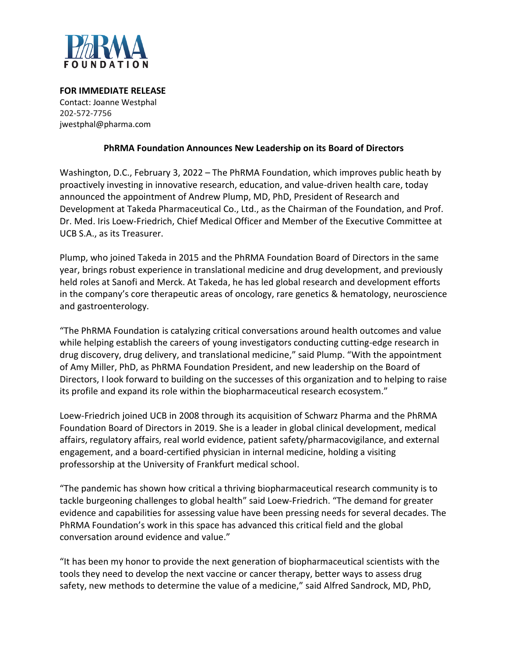

**FOR IMMEDIATE RELEASE** Contact: Joanne Westphal 202-572-7756 jwestphal@pharma.com

## **PhRMA Foundation Announces New Leadership on its Board of Directors**

Washington, D.C., February 3, 2022 – The PhRMA Foundation, which improves public heath by proactively investing in innovative research, education, and value-driven health care, today announced the appointment of Andrew Plump, MD, PhD, President of Research and Development at Takeda Pharmaceutical Co., Ltd., as the Chairman of the Foundation, and Prof. Dr. Med. Iris Loew-Friedrich, Chief Medical Officer and Member of the Executive Committee at UCB S.A., as its Treasurer.

Plump, who joined Takeda in 2015 and the PhRMA Foundation Board of Directors in the same year, brings robust experience in translational medicine and drug development, and previously held roles at Sanofi and Merck. At Takeda, he has led global research and development efforts in the company's core therapeutic areas of oncology, rare genetics & hematology, neuroscience and gastroenterology.

"The PhRMA Foundation is catalyzing critical conversations around health outcomes and value while helping establish the careers of young investigators conducting cutting-edge research in drug discovery, drug delivery, and translational medicine," said Plump. "With the appointment of Amy Miller, PhD, as PhRMA Foundation President, and new leadership on the Board of Directors, I look forward to building on the successes of this organization and to helping to raise its profile and expand its role within the biopharmaceutical research ecosystem."

Loew-Friedrich joined UCB in 2008 through its acquisition of Schwarz Pharma and the PhRMA Foundation Board of Directors in 2019. She is a leader in global clinical development, medical affairs, regulatory affairs, real world evidence, patient safety/pharmacovigilance, and external engagement, and a board-certified physician in internal medicine, holding a visiting professorship at the University of Frankfurt medical school.

"The pandemic has shown how critical a thriving biopharmaceutical research community is to tackle burgeoning challenges to global health" said Loew-Friedrich. "The demand for greater evidence and capabilities for assessing value have been pressing needs for several decades. The PhRMA Foundation's work in this space has advanced this critical field and the global conversation around evidence and value."

"It has been my honor to provide the next generation of biopharmaceutical scientists with the tools they need to develop the next vaccine or cancer therapy, better ways to assess drug safety, new methods to determine the value of a medicine," said Alfred Sandrock, MD, PhD,